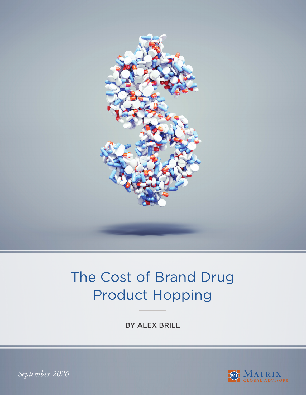

# The Cost of Brand Drug Product Hopping

BY ALEX BRILL



*September 2020*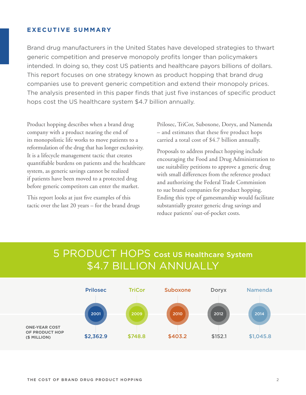### **EXECUTIVE SUMMARY**

Brand drug manufacturers in the United States have developed strategies to thwart generic competition and preserve monopoly profits longer than policymakers intended. In doing so, they cost US patients and healthcare payors billions of dollars. This report focuses on one strategy known as product hopping that brand drug companies use to prevent generic competition and extend their monopoly prices. The analysis presented in this paper finds that just five instances of specific product hops cost the US healthcare system \$4.7 billion annually.

Product hopping describes when a brand drug company with a product nearing the end of its monopolistic life works to move patients to a reformulation of the drug that has longer exclusivity. It is a lifecycle management tactic that creates quantifiable burdens on patients and the healthcare system, as generic savings cannot be realized if patients have been moved to a protected drug before generic competitors can enter the market.

This report looks at just five examples of this tactic over the last 20 years – for the brand drugs

Prilosec, TriCor, Suboxone, Doryx, and Namenda – and estimates that these five product hops carried a total cost of \$4.7 billion annually.

Proposals to address product hopping include encouraging the Food and Drug Administration to use suitability petitions to approve a generic drug with small differences from the reference product and authorizing the Federal Trade Commission to sue brand companies for product hopping. Ending this type of gamesmanship would facilitate substantially greater generic drug savings and reduce patients' out-of-pocket costs.

# 5 PRODUCT HOPS Cost US Healthcare System \$4.7 BILLION ANNUALLY

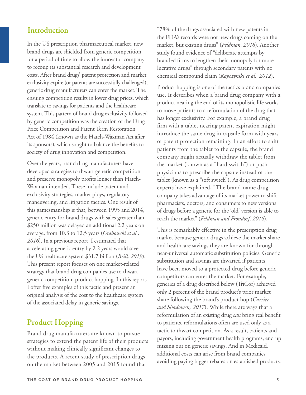### **Introduction**

In the US prescription pharmaceutical market, new brand drugs are shielded from generic competition for a period of time to allow the innovator company to recoup its substantial research and development costs. After brand drugs' patent protection and market exclusivity expire (or patents are successfully challenged), generic drug manufacturers can enter the market. The ensuing competition results in lower drug prices, which translate to savings for patients and the healthcare system. This pattern of brand drug exclusivity followed by generic competition was the creation of the Drug Price Competition and Patent Term Restoration Act of 1984 (known as the Hatch-Waxman Act after its sponsors), which sought to balance the benefits to society of drug innovation and competition.

Over the years, brand drug manufacturers have developed strategies to thwart generic competition and preserve monopoly profits longer than Hatch-Waxman intended. These include patent and exclusivity strategies, market ploys, regulatory maneuvering, and litigation tactics. One result of this gamesmanship is that, between 1995 and 2014, generic entry for brand drugs with sales greater than \$250 million was delayed an additional 2.2 years on average, from 10.3 to 12.5 years (*Grabowski et al., 2016*). In a previous report, I estimated that accelerating generic entry by 2.2 years would save the US healthcare system \$31.7 billion (*Brill, 2019*). This present report focuses on one market-related strategy that brand drug companies use to thwart generic competition: product hopping. In this report, I offer five examples of this tactic and present an original analysis of the cost to the healthcare system of the associated delay in generic savings.

# **Product Hopping**

Brand drug manufacturers are known to pursue strategies to extend the patent life of their products without making clinically significant changes to the products. A recent study of prescription drugs on the market between 2005 and 2015 found that

"78% of the drugs associated with new patents in the FDA's records were not new drugs coming on the market, but existing drugs" (*Feldman, 2018*). Another study found evidence of "deliberate attempts by branded firms to lengthen their monopoly for more lucrative drugs" through secondary patents with no chemical compound claim (*Kapczynski et al., 2012*).

Product hopping is one of the tactics brand companies use. It describes when a brand drug company with a product nearing the end of its monopolistic life works to move patients to a reformulation of the drug that has longer exclusivity. For example, a brand drug firm with a tablet nearing patent expiration might introduce the same drug in capsule form with years of patent protection remaining. In an effort to shift patients from the tablet to the capsule, the brand company might actually withdraw the tablet from the market (known as a "hard switch") or push physicians to prescribe the capsule instead of the tablet (known as a "soft switch"). As drug competition experts have explained, "The brand-name drug company takes advantage of its market power to shift pharmacists, doctors, and consumers to new versions of drugs before a generic for the 'old' version is able to reach the market" (*Feldman and Frondorf, 2016*).

This is remarkably effective in the prescription drug market because generic drugs achieve the market share and healthcare savings they are known for through near-universal automatic substitution policies. Generic substitution and savings are thwarted if patients have been moved to a protected drug before generic competitors can enter the market. For example, generics of a drug described below (TriCor) achieved only 2 percent of the brand product's prior market share following the brand's product hop (*Carrier and Shadowen, 2017*). While there are ways that a reformulation of an existing drug *can* bring real benefit to patients, reformulations often are used only as a tactic to thwart competition. As a result, patients and payors, including government health programs, end up missing out on generic savings. And in Medicaid, additional costs can arise from brand companies avoiding paying bigger rebates on established products.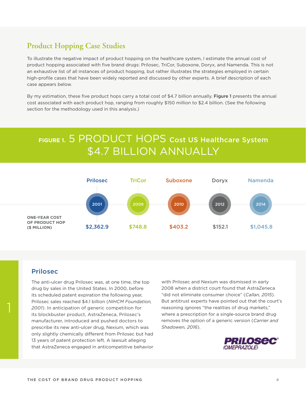## **Product Hopping Case Studies**

To illustrate the negative impact of product hopping on the healthcare system, I estimate the annual cost of product hopping associated with five brand drugs: Prilosec, TriCor, Suboxone, Doryx, and Namenda. This is not an exhaustive list of all instances of product hopping, but rather illustrates the strategies employed in certain high-profile cases that have been widely reported and discussed by other experts. A brief description of each case appears below.

By my estimation, these five product hops carry a total cost of \$4.7 billion annually. Figure 1 presents the annual cost associated with each product hop, ranging from roughly \$150 million to \$2.4 billion. (See the following section for the methodology used in this analysis.)

# **FIGURE 1.** 5 PRODUCT HOPS Cost US Healthcare System \$4.7 BILLION ANNUALLY



### Prilosec

The anti-ulcer drug Prilosec was, at one time, the top drug by sales in the United States. In 2000, before its scheduled patent expiration the following year, Prilosec sales reached \$4.1 billion (*NIHCM Foundation, 2001*). In anticipation of generic competition for its blockbuster product, AstraZeneca, Prilosec's manufacturer, introduced and pushed doctors to prescribe its new anti-ulcer drug, Nexium, which was only slightly chemically different from Prilosec but had 13 years of patent protection left. A lawsuit alleging that AstraZeneca engaged in anticompetitive behavior

with Prilosec and Nexium was dismissed in early 2008 when a district court found that AstraZeneca "did not eliminate consumer choice" (*Callan, 2015*). But antitrust experts have pointed out that the court's reasoning ignores "the realities of drug markets," where a prescription for a single-source brand drug removes the option of a generic version (*Carrier and Shadowen, 2016*).

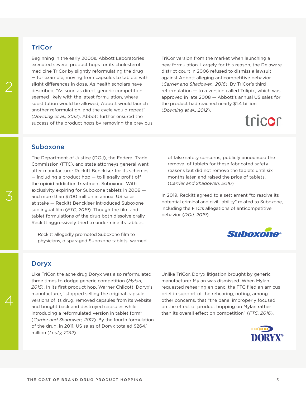### **TriCor**

Beginning in the early 2000s, Abbott Laboratories executed several product hops for its cholesterol medicine TriCor by slightly reformulating the drug — for example, moving from capsules to tablets with slight differences in dose. As health scholars have described, "As soon as direct generic competition seemed likely with the latest formulation, where substitution would be allowed, Abbott would launch another reformulation, and the cycle would repeat" (*Downing et al., 2012*). Abbott further ensured the success of the product hops by removing the previous TriCor version from the market when launching a new formulation. Largely for this reason, the Delaware district court in 2006 refused to dismiss a lawsuit against Abbott alleging anticompetitive behavior (*Carrier and Shadowen, 2016*). By TriCor's third reformulation — to a version called Trilipix, which was approved in late 2008 — Abbott's annual US sales for the product had reached nearly \$1.4 billion (*Downing et al., 2012*).

# tricor

### Suboxone

The Department of Justice (DOJ), the Federal Trade Commission (FTC), and state attorneys general went after manufacturer Reckitt Benckiser for its schemes  $-$  including a product hop  $-$  to illegally profit off the opioid addiction treatment Suboxone. With exclusivity expiring for Suboxone tablets in 2009 and more than \$700 million in annual US sales at stake — Reckitt Benckiser introduced Suboxone sublingual film (*FTC, 2019*). Though the film and tablet formulations of the drug both dissolve orally, Reckitt aggressively tried to undermine its tablets:

 Reckitt allegedly promoted Suboxone film to physicians, disparaged Suboxone tablets, warned of false safety concerns, publicly announced the removal of tablets for these fabricated safety reasons but did not remove the tablets until six months later, and raised the price of tablets. (*Carrier and Shadowen, 2016*)

In 2019, Reckitt agreed to a settlement "to resolve its potential criminal and civil liability" related to Suboxone, including the FTC's allegations of anticompetitive behavior (*DOJ, 2019*).



#### Doryx

Like TriCor, the acne drug Doryx was also reformulated three times to dodge generic competition (*Mylan, 2015*). In its first product hop, Warner Chilcott, Doryx's manufacturer, "stopped selling the original capsule versions of its drug, removed capsules from its website, and bought back and destroyed capsules while introducing a reformulated version in tablet form" (*Carrier and Shadowen, 2017*). By the fourth formulation of the drug, in 2011, US sales of Doryx totaled \$264.1 million (*Leuty, 2012*).

Unlike TriCor, Doryx litigation brought by generic manufacturer Mylan was dismissed. When Mylan requested rehearing en banc, the FTC filed an amicus brief in support of the rehearing, noting, among other concerns, that "the panel improperly focused on the effect of product hopping on Mylan rather than its overall effect on competition" (*FTC, 2016*).



4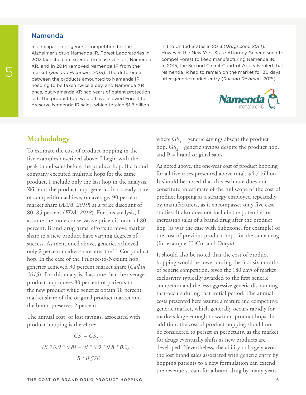### Namenda

In anticipation of generic competition for the Alzheimer's drug Namenda IR, Forest Laboratories in 2013 launched an extended-release version, Namenda XR, and in 2014 removed Namenda IR from the market (*Rai and Richman, 2018*). The difference between the products amounted to Namenda IR needing to be taken twice a day, and Namenda XR once, but Namenda XR had years of patent protection left. The product hop would have allowed Forest to preserve Namenda IR sales, which totaled \$1.8 billion

in the United States in 2013 (*Drugs.com, 2014*). However, the New York State Attorney General sued to compel Forest to keep manufacturing Namenda IR. In 2015, the Second Circuit Court of Appeals ruled that Namenda IR had to remain on the market for 30 days 5 after generic market entry (*Rai and Richman, 2018*).



## **Methodology**

To estimate the cost of product hopping in the five examples described above, I begin with the peak brand sales before the product hop. If a brand company executed multiple hops for the same product, I include only the last hop in the analysis. Without the product hop, generics in a steady state of competition achieve, on average, 90 percent market share (*AAM, 2019*) at a price discount of 80–85 percent (*FDA, 2018*). For this analysis, I assume the more conservative price discount of 80 percent. Brand drug firms' efforts to move market share to a new product have varying degrees of success. As mentioned above, generics achieved only 2 percent market share after the TriCor product hop. In the case of the Prilosec-to-Nexium hop, generics achieved 30 percent market share (*Callan, 2015*). For this analysis, I assume that the average product hop moves 80 percent of patients to the new product while generics obtain 18 percent market share of the original product market and the brand preserves 2 percent.

The annual cost, or lost savings, associated with product hopping is therefore:

$$
GS1 - GS2 =
$$
  
(B \* 0.9 \* 0.8) – (B \* 0.9 \* 0.8 \* 0.2) =  
B \* 0.576

where  $\text{GS}_1$  = generic savings absent the product hop,  $GS_2$  = generic savings despite the product hop, and  $B = brand$  original sales.

As noted above, the one-year cost of product hopping for all five cases presented above totals \$4.7 billion. It should be noted that this estimate does not constitute an estimate of the full scope of the cost of product hopping as a strategy employed repeatedly by manufacturers, as it encompasses only five case studies. It also does not include the potential for increasing sales of a brand drug after the product hop (as was the case with Suboxone, for example) or the cost of previous product hops for the same drug (for example, TriCor and Doryx).

It should also be noted that the cost of product hopping would be lower during the first six months of generic competition, given the 180 days of market exclusivity typically awarded to the first generic competitor and the less aggressive generic discounting that occurs during that initial period. The annual costs presented here assume a mature and competitive generic market, which generally occurs rapidly for markets large enough to warrant product hops. In addition, the cost of product hopping should not be considered to persist in perpetuity, as the market for drugs eventually shifts as new products are developed. Nevertheless, the ability to largely avoid the lost brand sales associated with generic entry by hopping patients to a new formulation can extend the revenue stream for a brand drug by many years.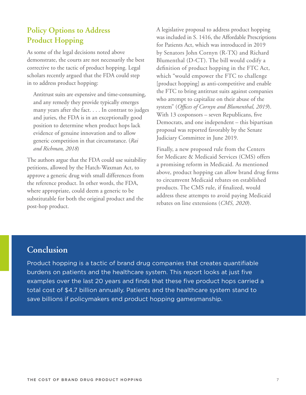# **Policy Options to Address Product Hopping**

As some of the legal decisions noted above demonstrate, the courts are not necessarily the best corrective to the tactic of product hopping. Legal scholars recently argued that the FDA could step in to address product hopping:

 Antitrust suits are expensive and time-consuming, and any remedy they provide typically emerges many years after the fact. . . . In contrast to judges and juries, the FDA is in an exceptionally good position to determine when product hops lack evidence of genuine innovation and to allow generic competition in that circumstance. (*Rai and Richman, 2018*)

The authors argue that the FDA could use suitability petitions, allowed by the Hatch-Waxman Act, to approve a generic drug with small differences from the reference product. In other words, the FDA, where appropriate, could deem a generic to be substitutable for both the original product and the post-hop product.

A legislative proposal to address product hopping was included in S. 1416, the Affordable Prescriptions for Patients Act, which was introduced in 2019 by Senators John Cornyn (R-TX) and Richard Blumenthal (D-CT). The bill would codify a definition of product hopping in the FTC Act, which "would empower the FTC to challenge [product hopping] as anti-competitive and enable the FTC to bring antitrust suits against companies who attempt to capitalize on their abuse of the system" (*Offices of Cornyn and Blumenthal, 2019*). With 13 cosponsors – seven Republicans, five Democrats, and one independent – this bipartisan proposal was reported favorably by the Senate Judiciary Committee in June 2019.

Finally, a new proposed rule from the Centers for Medicare & Medicaid Services (CMS) offers a promising reform in Medicaid. As mentioned above, product hopping can allow brand drug firms to circumvent Medicaid rebates on established products. The CMS rule, if finalized, would address these attempts to avoid paying Medicaid rebates on line extensions (*CMS, 2020*).

# **Conclusion**

Product hopping is a tactic of brand drug companies that creates quantifiable burdens on patients and the healthcare system. This report looks at just five examples over the last 20 years and finds that these five product hops carried a total cost of \$4.7 billion annually. Patients and the healthcare system stand to save billions if policymakers end product hopping gamesmanship.